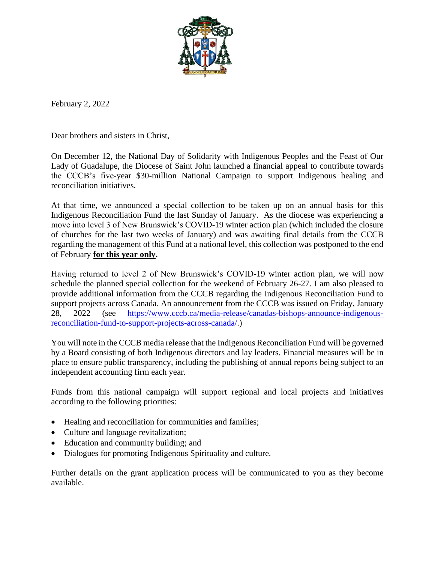

February 2, 2022

Dear brothers and sisters in Christ,

On December 12, the National Day of Solidarity with Indigenous Peoples and the Feast of Our Lady of Guadalupe, the Diocese of Saint John launched a financial appeal to contribute towards the CCCB's five-year \$30-million National Campaign to support Indigenous healing and reconciliation initiatives.

At that time, we announced a special collection to be taken up on an annual basis for this Indigenous Reconciliation Fund the last Sunday of January. As the diocese was experiencing a move into level 3 of New Brunswick's COVID-19 winter action plan (which included the closure of churches for the last two weeks of January) and was awaiting final details from the CCCB regarding the management of this Fund at a national level, this collection was postponed to the end of February **for this year only.** 

Having returned to level 2 of New Brunswick's COVID-19 winter action plan, we will now schedule the planned special collection for the weekend of February 26-27. I am also pleased to provide additional information from the CCCB regarding the Indigenous Reconciliation Fund to support projects across Canada. An announcement from the CCCB was issued on Friday, January 28, 2022 (see [https://www.cccb.ca/media-release/canadas-bishops-announce-indigenous](https://www.cccb.ca/media-release/canadas-bishops-announce-indigenous-reconciliation-fund-to-support-projects-across-canada/)[reconciliation-fund-to-support-projects-across-canada/.](https://www.cccb.ca/media-release/canadas-bishops-announce-indigenous-reconciliation-fund-to-support-projects-across-canada/))

You will note in the CCCB media release that the Indigenous Reconciliation Fund will be governed by a Board consisting of both Indigenous directors and lay leaders. Financial measures will be in place to ensure public transparency, including the publishing of annual reports being subject to an independent accounting firm each year.

Funds from this national campaign will support regional and local projects and initiatives according to the following priorities:

- Healing and reconciliation for communities and families;
- Culture and language revitalization;
- Education and community building; and
- Dialogues for promoting Indigenous Spirituality and culture.

Further details on the grant application process will be communicated to you as they become available.